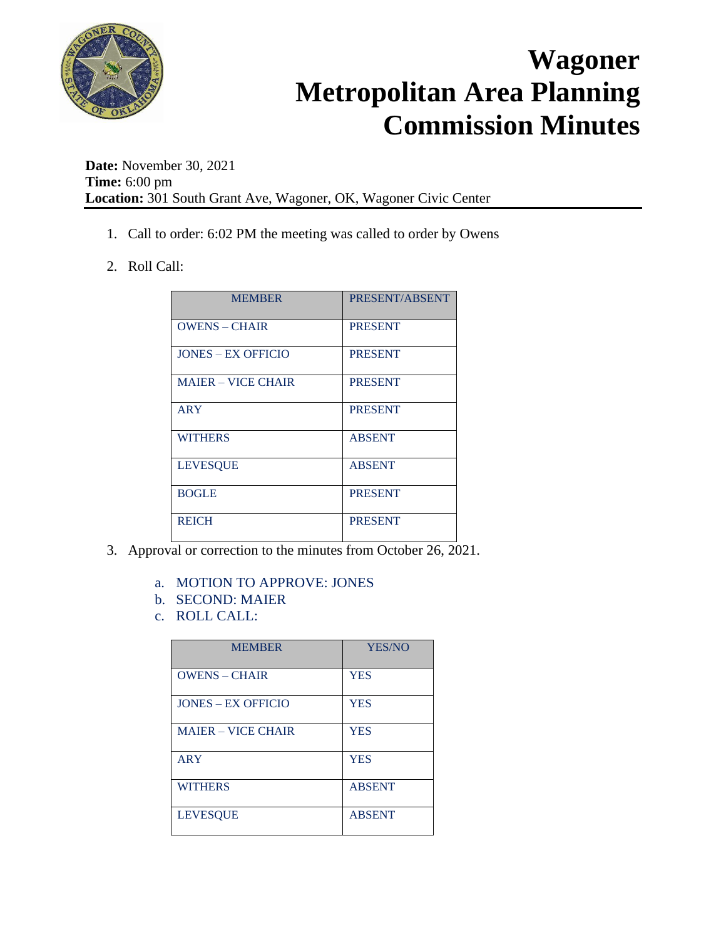

**Date:** November 30, 2021 **Time:** 6:00 pm **Location:** 301 South Grant Ave, Wagoner, OK, Wagoner Civic Center

- 1. Call to order: 6:02 PM the meeting was called to order by Owens
- 2. Roll Call:

| <b>MEMBER</b>             | PRESENT/ABSENT |
|---------------------------|----------------|
| <b>OWENS - CHAIR</b>      | <b>PRESENT</b> |
| <b>JONES – EX OFFICIO</b> | <b>PRESENT</b> |
| <b>MAJER – VICE CHAIR</b> | <b>PRESENT</b> |
| ARY                       | <b>PRESENT</b> |
| <b>WITHERS</b>            | <b>ABSENT</b>  |
| <b>LEVESQUE</b>           | <b>ABSENT</b>  |
| <b>BOGLE</b>              | <b>PRESENT</b> |
| <b>REICH</b>              | <b>PRESENT</b> |

- 3. Approval or correction to the minutes from October 26, 2021.
	- a. MOTION TO APPROVE: JONES
	- b. SECOND: MAIER
	- c. ROLL CALL:

| <b>MEMBER</b>             | <b>YES/NO</b> |
|---------------------------|---------------|
| $OWENS - CHAIR$           | <b>YES</b>    |
| <b>JONES – EX OFFICIO</b> | <b>YES</b>    |
| <b>MAIER - VICE CHAIR</b> | <b>YES</b>    |
| <b>ARY</b>                | <b>YES</b>    |
| <b>WITHERS</b>            | <b>ABSENT</b> |
| <b>LEVESOUE</b>           | <b>ABSENT</b> |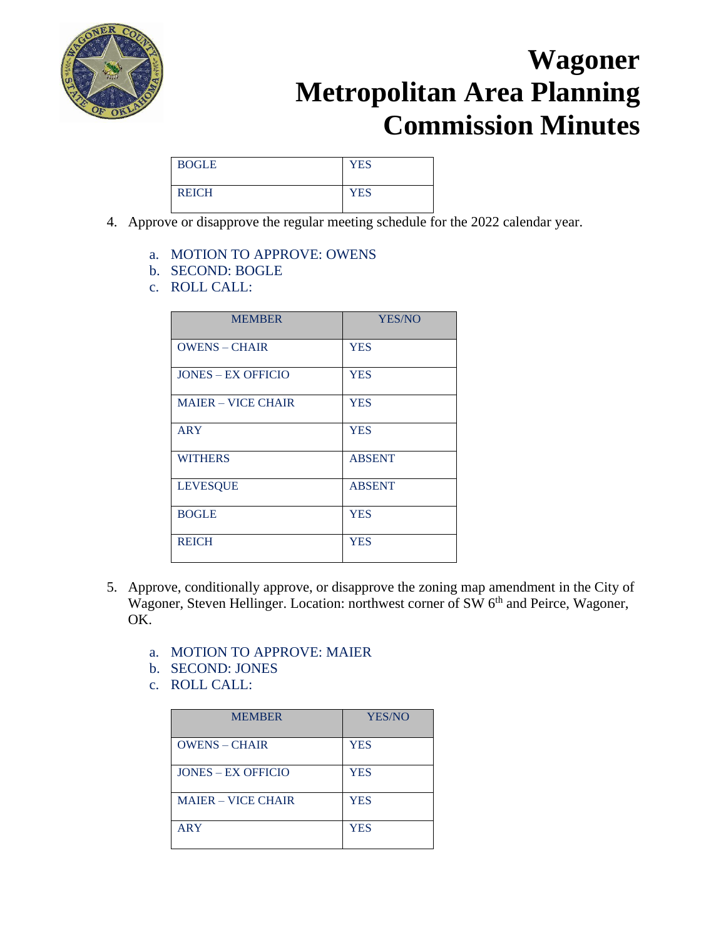

| <b>BOGLE</b> | <b>YES</b> |
|--------------|------------|
| <b>REICH</b> | <b>YES</b> |

- 4. Approve or disapprove the regular meeting schedule for the 2022 calendar year.
	- a. MOTION TO APPROVE: OWENS
	- b. SECOND: BOGLE
	- c. ROLL CALL:

| <b>MEMBER</b>             | YES/NO        |
|---------------------------|---------------|
| <b>OWENS - CHAIR</b>      | <b>YES</b>    |
| <b>JONES – EX OFFICIO</b> | <b>YES</b>    |
| <b>MAIER - VICE CHAIR</b> | <b>YES</b>    |
| <b>ARY</b>                | <b>YES</b>    |
| <b>WITHERS</b>            | <b>ABSENT</b> |
| <b>LEVESQUE</b>           | <b>ABSENT</b> |
| <b>BOGLE</b>              | <b>YES</b>    |
| <b>REICH</b>              | <b>YES</b>    |

- 5. Approve, conditionally approve, or disapprove the zoning map amendment in the City of Wagoner, Steven Hellinger. Location: northwest corner of SW 6<sup>th</sup> and Peirce, Wagoner, OK.
	- a. MOTION TO APPROVE: MAIER
	- b. SECOND: JONES
	- c. ROLL CALL:

| <b>MEMBER</b>             | YES/NO     |
|---------------------------|------------|
| <b>OWENS - CHAIR</b>      | <b>YES</b> |
| <b>JONES – EX OFFICIO</b> | <b>YES</b> |
| <b>MAJER – VICE CHAIR</b> | <b>YES</b> |
| <b>ARY</b>                | <b>YES</b> |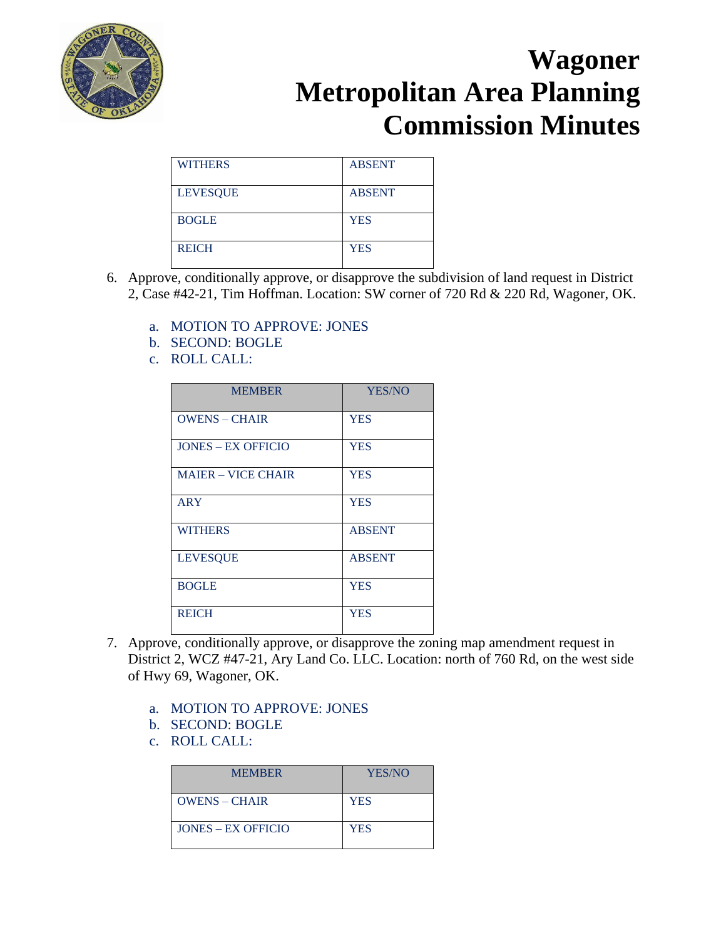

| <b>WITHERS</b>  | <b>ABSENT</b> |
|-----------------|---------------|
| <b>LEVESQUE</b> | <b>ABSENT</b> |
| <b>BOGLE</b>    | <b>YES</b>    |
| <b>REICH</b>    | <b>YES</b>    |

- 6. Approve, conditionally approve, or disapprove the subdivision of land request in District 2, Case #42-21, Tim Hoffman. Location: SW corner of 720 Rd & 220 Rd, Wagoner, OK.
	- a. MOTION TO APPROVE: JONES
	- b. SECOND: BOGLE
	- c. ROLL CALL:

| <b>MEMBER</b>             | YES/NO        |
|---------------------------|---------------|
| <b>OWENS - CHAIR</b>      | <b>YES</b>    |
| <b>JONES – EX OFFICIO</b> | <b>YES</b>    |
| <b>MAIER - VICE CHAIR</b> | <b>YES</b>    |
| <b>ARY</b>                | <b>YES</b>    |
| <b>WITHERS</b>            | <b>ABSENT</b> |
| <b>LEVESQUE</b>           | <b>ABSENT</b> |
| <b>BOGLE</b>              | <b>YES</b>    |
| <b>REICH</b>              | <b>YES</b>    |

- 7. Approve, conditionally approve, or disapprove the zoning map amendment request in District 2, WCZ #47-21, Ary Land Co. LLC. Location: north of 760 Rd, on the west side of Hwy 69, Wagoner, OK.
	- a. MOTION TO APPROVE: JONES
	- b. SECOND: BOGLE
	- c. ROLL CALL:

| <b>MEMBER</b>      | YES/NO     |
|--------------------|------------|
| $OWENS - CHAIR$    | <b>YES</b> |
| JONES – EX OFFICIO | <b>YES</b> |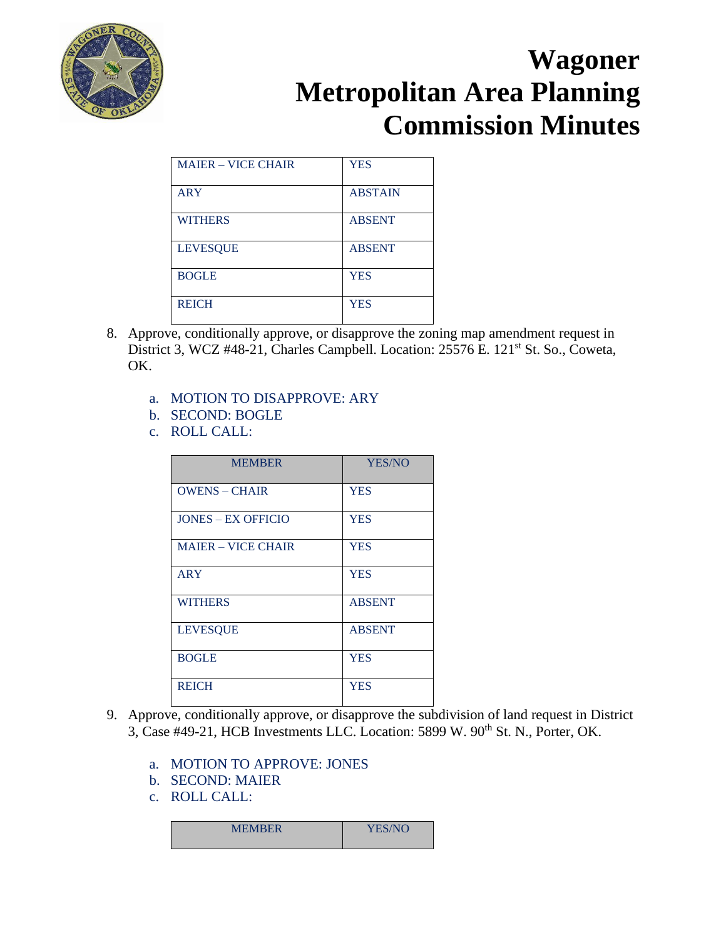

| <b>MAIER - VICE CHAIR</b> | <b>YES</b>     |
|---------------------------|----------------|
|                           |                |
| <b>ARY</b>                | <b>ABSTAIN</b> |
|                           |                |
| <b>WITHERS</b>            | <b>ABSENT</b>  |
|                           |                |
| <b>LEVESQUE</b>           | <b>ABSENT</b>  |
|                           |                |
| <b>BOGLE</b>              | <b>YES</b>     |
|                           |                |
| <b>REICH</b>              | <b>YES</b>     |
|                           |                |

- 8. Approve, conditionally approve, or disapprove the zoning map amendment request in District 3, WCZ #48-21, Charles Campbell. Location: 25576 E. 121<sup>st</sup> St. So., Coweta, OK.
	- a. MOTION TO DISAPPROVE: ARY
	- b. SECOND: BOGLE
	- c. ROLL CALL:

| <b>MEMBER</b>             | YES/NO        |
|---------------------------|---------------|
| <b>OWENS – CHAIR</b>      | <b>YES</b>    |
| <b>JONES - EX OFFICIO</b> | <b>YES</b>    |
| <b>MAJER – VICE CHAIR</b> | <b>YES</b>    |
| <b>ARY</b>                | <b>YES</b>    |
| <b>WITHERS</b>            | <b>ABSENT</b> |
| <b>LEVESQUE</b>           | <b>ABSENT</b> |
| <b>BOGLE</b>              | <b>YES</b>    |
| <b>REICH</b>              | <b>YES</b>    |

- 9. Approve, conditionally approve, or disapprove the subdivision of land request in District 3, Case #49-21, HCB Investments LLC. Location: 5899 W. 90<sup>th</sup> St. N., Porter, OK.
	- a. MOTION TO APPROVE: JONES
	- b. SECOND: MAIER
	- c. ROLL CALL:

| <b>MEMBER</b> | <b>YES/NO</b> |
|---------------|---------------|
|               |               |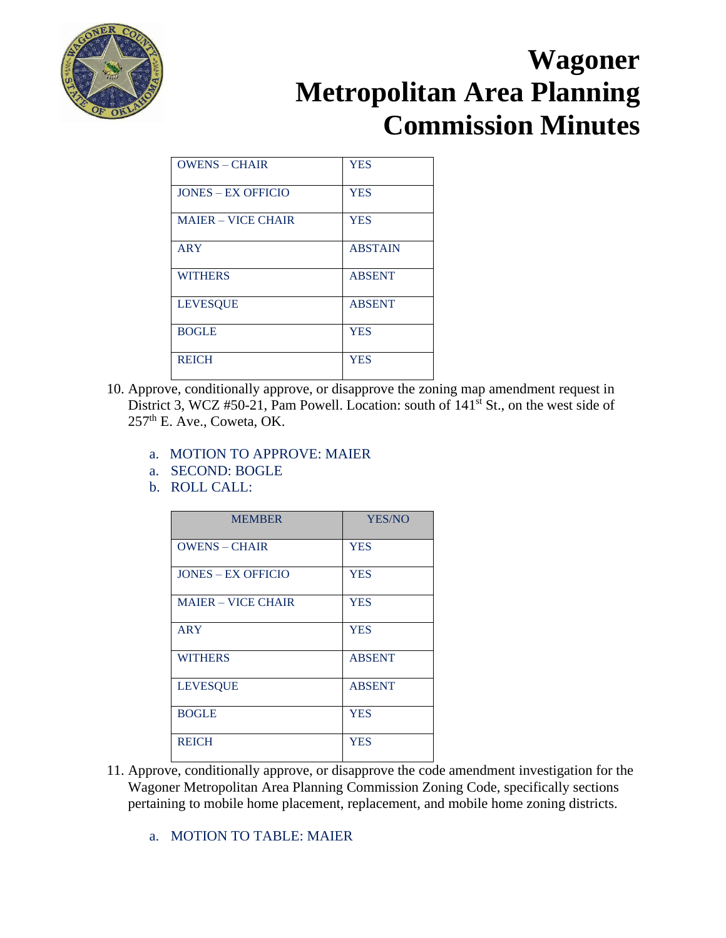

| <b>OWENS - CHAIR</b>      | <b>YES</b>     |
|---------------------------|----------------|
| <b>JONES – EX OFFICIO</b> | <b>YES</b>     |
| <b>MAIER - VICE CHAIR</b> | <b>YES</b>     |
| <b>ARY</b>                | <b>ABSTAIN</b> |
| <b>WITHERS</b>            | <b>ABSENT</b>  |
| <b>LEVESOUE</b>           | <b>ABSENT</b>  |
| <b>BOGLE</b>              | <b>YES</b>     |
| <b>REICH</b>              | <b>YES</b>     |

- 10. Approve, conditionally approve, or disapprove the zoning map amendment request in District 3, WCZ #50-21, Pam Powell. Location: south of  $141<sup>st</sup>$  St., on the west side of 257<sup>th</sup> E. Ave., Coweta, OK.
	- a. MOTION TO APPROVE: MAIER
	- a. SECOND: BOGLE
	- b. ROLL CALL:

| <b>MEMBER</b>             | YES/NO        |
|---------------------------|---------------|
| <b>OWENS - CHAIR</b>      | <b>YES</b>    |
| <b>JONES – EX OFFICIO</b> | <b>YES</b>    |
| <b>MAIER – VICE CHAIR</b> | <b>YES</b>    |
| <b>ARY</b>                | <b>YES</b>    |
| <b>WITHERS</b>            | <b>ABSENT</b> |
| <b>LEVESQUE</b>           | <b>ABSENT</b> |
| <b>BOGLE</b>              | <b>YES</b>    |
| <b>REICH</b>              | <b>YES</b>    |

- 11. Approve, conditionally approve, or disapprove the code amendment investigation for the Wagoner Metropolitan Area Planning Commission Zoning Code, specifically sections pertaining to mobile home placement, replacement, and mobile home zoning districts.
	- a. MOTION TO TABLE: MAIER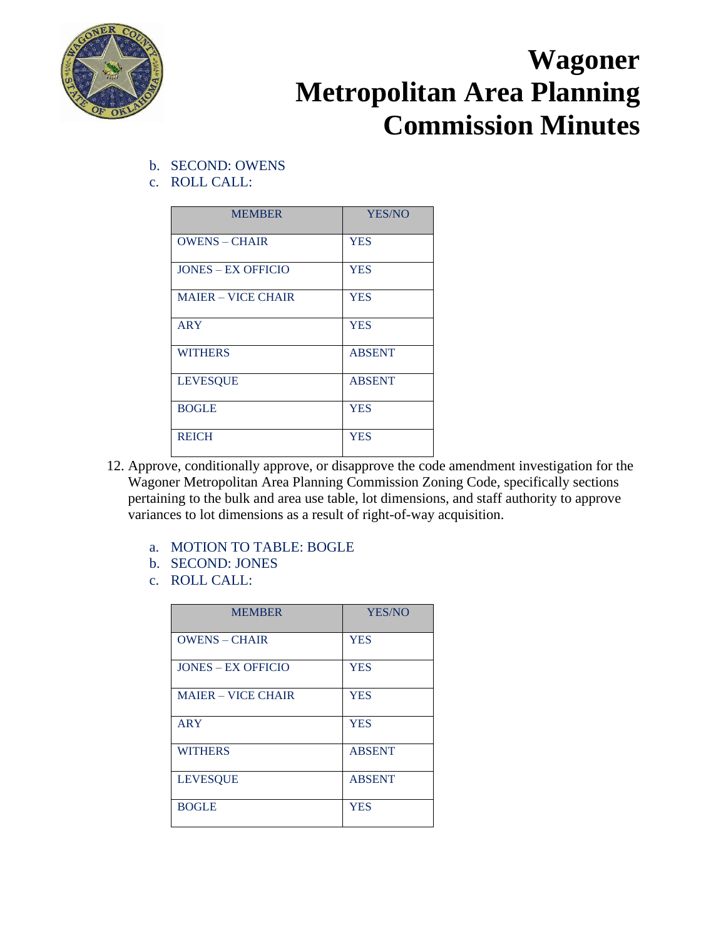

- b. SECOND: OWENS
- c. ROLL CALL:

| <b>MEMBER</b>             | YES/NO        |
|---------------------------|---------------|
| <b>OWENS - CHAIR</b>      | <b>YES</b>    |
| <b>JONES – EX OFFICIO</b> | <b>YES</b>    |
| <b>MAIER - VICE CHAIR</b> | <b>YES</b>    |
| <b>ARY</b>                | <b>YES</b>    |
| <b>WITHERS</b>            | <b>ABSENT</b> |
| <b>LEVESQUE</b>           | <b>ABSENT</b> |
| <b>BOGLE</b>              | <b>YES</b>    |
| <b>REICH</b>              | <b>YES</b>    |

- 12. Approve, conditionally approve, or disapprove the code amendment investigation for the Wagoner Metropolitan Area Planning Commission Zoning Code, specifically sections pertaining to the bulk and area use table, lot dimensions, and staff authority to approve variances to lot dimensions as a result of right-of-way acquisition.
	- a. MOTION TO TABLE: BOGLE
	- b. SECOND: JONES
	- c. ROLL CALL:

| <b>MEMBER</b>             | <b>YES/NO</b> |
|---------------------------|---------------|
| <b>OWENS - CHAIR</b>      | <b>YES</b>    |
| <b>JONES – EX OFFICIO</b> | <b>YES</b>    |
| <b>MAJER – VICE CHAIR</b> | <b>YES</b>    |
| <b>ARY</b>                | <b>YES</b>    |
| <b>WITHERS</b>            | <b>ABSENT</b> |
| <b>LEVESQUE</b>           | <b>ABSENT</b> |
| <b>BOGLE</b>              | <b>YES</b>    |